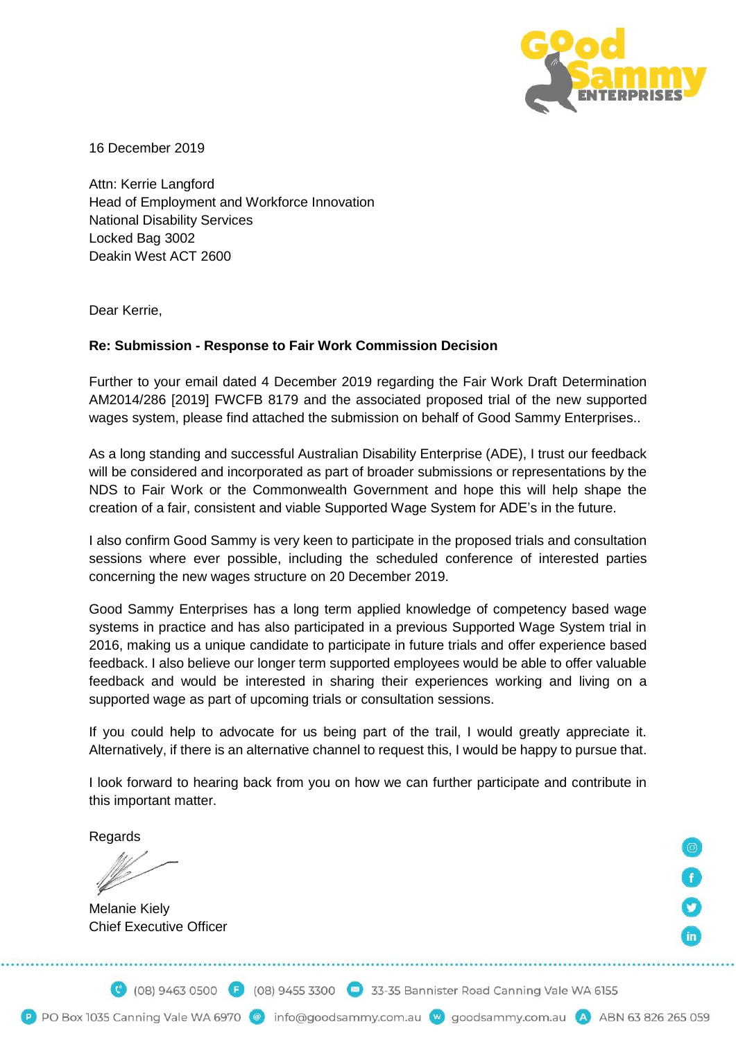

16 December 2019

Attn: Kerrie Langford Head of Employment and Workforce Innovation National Disability Services Locked Bag 3002 Deakin West ACT 2600

Dear Kerrie,

### **Re: Submission - Response to Fair Work Commission Decision**

Further to your email dated 4 December 2019 regarding the Fair Work Draft Determination AM2014/286 [2019] FWCFB 8179 and the associated proposed trial of the new supported wages system, please find attached the submission on behalf of Good Sammy Enterprises..

As a long standing and successful Australian Disability Enterprise (ADE), I trust our feedback will be considered and incorporated as part of broader submissions or representations by the NDS to Fair Work or the Commonwealth Government and hope this will help shape the creation of a fair, consistent and viable Supported Wage System for ADE's in the future.

I also confirm Good Sammy is very keen to participate in the proposed trials and consultation sessions where ever possible, including the scheduled conference of interested parties concerning the new wages structure on 20 December 2019.

Good Sammy Enterprises has a long term applied knowledge of competency based wage systems in practice and has also participated in a previous Supported Wage System trial in 2016, making us a unique candidate to participate in future trials and offer experience based feedback. I also believe our longer term supported employees would be able to offer valuable feedback and would be interested in sharing their experiences working and living on a supported wage as part of upcoming trials or consultation sessions.

If you could help to advocate for us being part of the trail, I would greatly appreciate it. Alternatively, if there is an alternative channel to request this, I would be happy to pursue that.

I look forward to hearing back from you on how we can further participate and contribute in this important matter.

Regards

Melanie Kiely Chief Executive Officer

(8) (08) 9463 0500 **E** (08) 9455 3300 33-35 Bannister Road Canning Vale WA 6155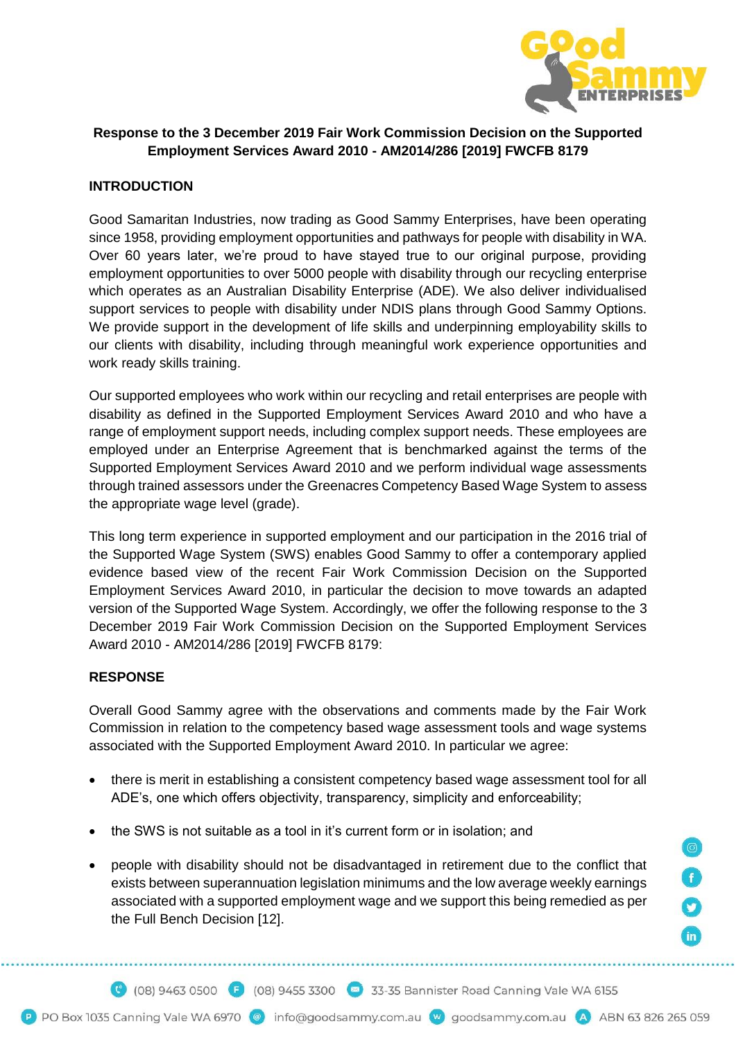

# **Response to the 3 December 2019 Fair Work Commission Decision on the Supported Employment Services Award 2010 - AM2014/286 [2019] FWCFB 8179**

# **INTRODUCTION**

Good Samaritan Industries, now trading as Good Sammy Enterprises, have been operating since 1958, providing employment opportunities and pathways for people with disability in WA. Over 60 years later, we're proud to have stayed true to our original purpose, providing employment opportunities to over 5000 people with disability through our recycling enterprise which operates as an Australian Disability Enterprise (ADE). We also deliver individualised support services to people with disability under NDIS plans through Good Sammy Options. We provide support in the development of life skills and underpinning employability skills to our clients with disability, including through meaningful work experience opportunities and work ready skills training.

Our supported employees who work within our recycling and retail enterprises are people with disability as defined in the Supported Employment Services Award 2010 and who have a range of employment support needs, including complex support needs. These employees are employed under an Enterprise Agreement that is benchmarked against the terms of the Supported Employment Services Award 2010 and we perform individual wage assessments through trained assessors under the Greenacres Competency Based Wage System to assess the appropriate wage level (grade).

This long term experience in supported employment and our participation in the 2016 trial of the Supported Wage System (SWS) enables Good Sammy to offer a contemporary applied evidence based view of the recent Fair Work Commission Decision on the Supported Employment Services Award 2010, in particular the decision to move towards an adapted version of the Supported Wage System. Accordingly, we offer the following response to the 3 December 2019 Fair Work Commission Decision on the Supported Employment Services Award 2010 - AM2014/286 [2019] FWCFB 8179:

### **RESPONSE**

Overall Good Sammy agree with the observations and comments made by the Fair Work Commission in relation to the competency based wage assessment tools and wage systems associated with the Supported Employment Award 2010. In particular we agree:

- there is merit in establishing a consistent competency based wage assessment tool for all ADE's, one which offers objectivity, transparency, simplicity and enforceability;
- the SWS is not suitable as a tool in it's current form or in isolation; and
- people with disability should not be disadvantaged in retirement due to the conflict that exists between superannuation legislation minimums and the low average weekly earnings associated with a supported employment wage and we support this being remedied as per the Full Bench Decision [12].

 $\mathsf{in}$ 

(8) (08) 9463 0500 (**F** (08) 9455 3300 33-35 Bannister Road Canning Vale WA 6155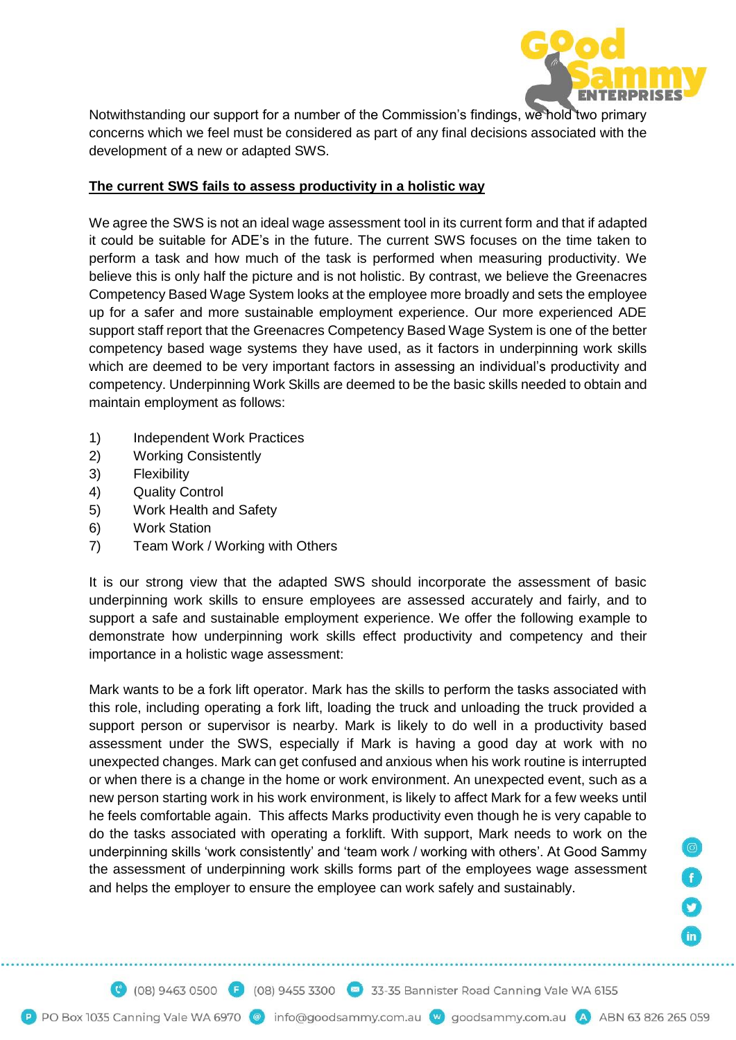

Notwithstanding our support for a number of the Commission's findings, we hold two primary concerns which we feel must be considered as part of any final decisions associated with the development of a new or adapted SWS.

#### **The current SWS fails to assess productivity in a holistic way**

We agree the SWS is not an ideal wage assessment tool in its current form and that if adapted it could be suitable for ADE's in the future. The current SWS focuses on the time taken to perform a task and how much of the task is performed when measuring productivity. We believe this is only half the picture and is not holistic. By contrast, we believe the Greenacres Competency Based Wage System looks at the employee more broadly and sets the employee up for a safer and more sustainable employment experience. Our more experienced ADE support staff report that the Greenacres Competency Based Wage System is one of the better competency based wage systems they have used, as it factors in underpinning work skills which are deemed to be very important factors in assessing an individual's productivity and competency. Underpinning Work Skills are deemed to be the basic skills needed to obtain and maintain employment as follows:

- 1) Independent Work Practices
- 2) Working Consistently
- 3) Flexibility
- 4) Quality Control
- 5) Work Health and Safety
- 6) Work Station
- 7) Team Work / Working with Others

It is our strong view that the adapted SWS should incorporate the assessment of basic underpinning work skills to ensure employees are assessed accurately and fairly, and to support a safe and sustainable employment experience. We offer the following example to demonstrate how underpinning work skills effect productivity and competency and their importance in a holistic wage assessment:

Mark wants to be a fork lift operator. Mark has the skills to perform the tasks associated with this role, including operating a fork lift, loading the truck and unloading the truck provided a support person or supervisor is nearby. Mark is likely to do well in a productivity based assessment under the SWS, especially if Mark is having a good day at work with no unexpected changes. Mark can get confused and anxious when his work routine is interrupted or when there is a change in the home or work environment. An unexpected event, such as a new person starting work in his work environment, is likely to affect Mark for a few weeks until he feels comfortable again. This affects Marks productivity even though he is very capable to do the tasks associated with operating a forklift. With support, Mark needs to work on the underpinning skills 'work consistently' and 'team work / working with others'. At Good Sammy the assessment of underpinning work skills forms part of the employees wage assessment and helps the employer to ensure the employee can work safely and sustainably.